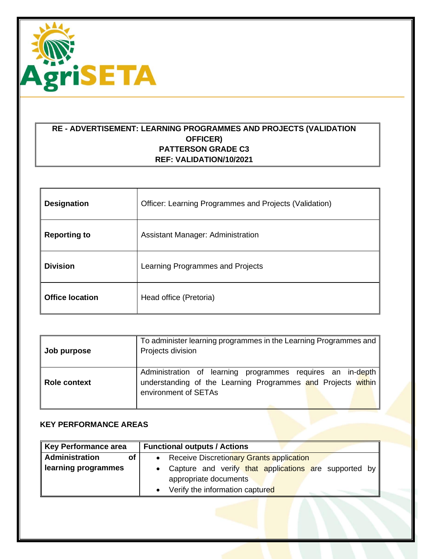

## **RE - ADVERTISEMENT: LEARNING PROGRAMMES AND PROJECTS (VALIDATION OFFICER) PATTERSON GRADE C3 REF: VALIDATION/10/2021**

| <b>Designation</b>     | Officer: Learning Programmes and Projects (Validation) |
|------------------------|--------------------------------------------------------|
| <b>Reporting to</b>    | <b>Assistant Manager: Administration</b>               |
| <b>Division</b>        | Learning Programmes and Projects                       |
| <b>Office location</b> | Head office (Pretoria)                                 |

| Job purpose         | To administer learning programmes in the Learning Programmes and<br>Projects division                                                              |
|---------------------|----------------------------------------------------------------------------------------------------------------------------------------------------|
| <b>Role context</b> | Administration of learning programmes requires an in-depth<br>understanding of the Learning Programmes and Projects within<br>environment of SETAs |

## **KEY PERFORMANCE AREAS**

| Key Performance area | <b>Functional outputs / Actions</b>                          |
|----------------------|--------------------------------------------------------------|
| Administration<br>οf | <b>Receive Discretionary Grants application</b><br>$\bullet$ |
| learning programmes  | Capture and verify that applications are supported by        |
|                      | appropriate documents                                        |
|                      | Verify the information captured                              |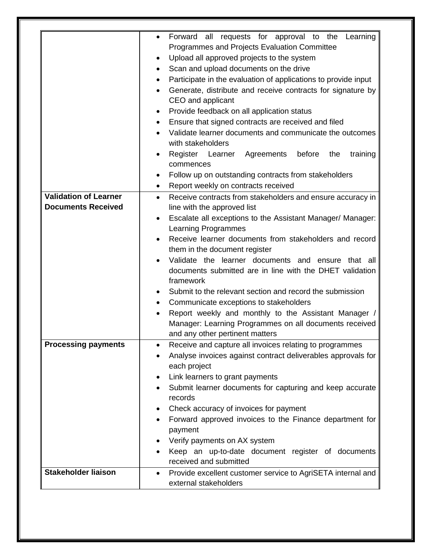| <b>Validation of Learner</b><br><b>Documents Received</b> | Forward<br>all requests for approval to the<br>Learning<br>$\bullet$<br>Programmes and Projects Evaluation Committee<br>Upload all approved projects to the system<br>$\bullet$<br>Scan and upload documents on the drive<br>٠<br>Participate in the evaluation of applications to provide input<br>$\bullet$<br>Generate, distribute and receive contracts for signature by<br>CEO and applicant<br>Provide feedback on all application status<br>$\bullet$<br>Ensure that signed contracts are received and filed<br>$\bullet$<br>Validate learner documents and communicate the outcomes<br>with stakeholders<br>Register Learner Agreements<br>before<br>the<br>training<br>commences<br>Follow up on outstanding contracts from stakeholders<br>Report weekly on contracts received<br>$\bullet$<br>Receive contracts from stakeholders and ensure accuracy in<br>$\bullet$<br>line with the approved list<br>Escalate all exceptions to the Assistant Manager/ Manager:<br>$\bullet$<br><b>Learning Programmes</b><br>Receive learner documents from stakeholders and record<br>$\bullet$<br>them in the document register<br>Validate the learner documents and ensure that all<br>documents submitted are in line with the DHET validation<br>framework<br>Submit to the relevant section and record the submission<br>$\bullet$<br>Communicate exceptions to stakeholders<br>٠<br>Report weekly and monthly to the Assistant Manager /<br>$\bullet$<br>Manager: Learning Programmes on all documents received |
|-----------------------------------------------------------|------------------------------------------------------------------------------------------------------------------------------------------------------------------------------------------------------------------------------------------------------------------------------------------------------------------------------------------------------------------------------------------------------------------------------------------------------------------------------------------------------------------------------------------------------------------------------------------------------------------------------------------------------------------------------------------------------------------------------------------------------------------------------------------------------------------------------------------------------------------------------------------------------------------------------------------------------------------------------------------------------------------------------------------------------------------------------------------------------------------------------------------------------------------------------------------------------------------------------------------------------------------------------------------------------------------------------------------------------------------------------------------------------------------------------------------------------------------------------------------------------------------------|
| Processing payments                                       | and any other pertinent matters<br>Receive and capture all invoices relating to programmes<br>Analyse invoices against contract deliverables approvals for<br>each project<br>Link learners to grant payments<br>$\bullet$<br>Submit learner documents for capturing and keep accurate<br>$\bullet$                                                                                                                                                                                                                                                                                                                                                                                                                                                                                                                                                                                                                                                                                                                                                                                                                                                                                                                                                                                                                                                                                                                                                                                                                    |
|                                                           | records<br>Check accuracy of invoices for payment<br>٠<br>Forward approved invoices to the Finance department for<br>payment<br>Verify payments on AX system<br>Keep an up-to-date document register of documents<br>received and submitted                                                                                                                                                                                                                                                                                                                                                                                                                                                                                                                                                                                                                                                                                                                                                                                                                                                                                                                                                                                                                                                                                                                                                                                                                                                                            |
| <b>Stakeholder liaison</b>                                | Provide excellent customer service to AgriSETA internal and<br>$\bullet$<br>external stakeholders                                                                                                                                                                                                                                                                                                                                                                                                                                                                                                                                                                                                                                                                                                                                                                                                                                                                                                                                                                                                                                                                                                                                                                                                                                                                                                                                                                                                                      |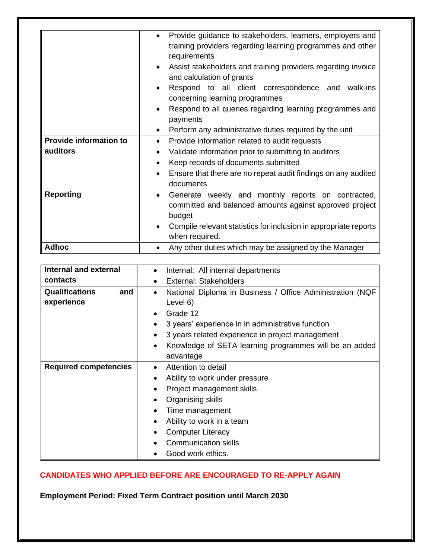| <b>Provide information to</b> | Provide guidance to stakeholders, learners, employers and<br>$\bullet$<br>training providers regarding learning programmes and other<br>requirements<br>Assist stakeholders and training providers regarding invoice<br>$\bullet$<br>and calculation of grants<br>Respond to all client correspondence and<br>walk-ins<br>$\bullet$<br>concerning learning programmes<br>Respond to all queries regarding learning programmes and<br>$\bullet$<br>payments<br>Perform any administrative duties required by the unit<br>٠<br>Provide information related to audit requests<br>٠ |
|-------------------------------|---------------------------------------------------------------------------------------------------------------------------------------------------------------------------------------------------------------------------------------------------------------------------------------------------------------------------------------------------------------------------------------------------------------------------------------------------------------------------------------------------------------------------------------------------------------------------------|
| auditors                      | Validate information prior to submitting to auditors<br>$\bullet$                                                                                                                                                                                                                                                                                                                                                                                                                                                                                                               |
|                               | Keep records of documents submitted<br>$\bullet$                                                                                                                                                                                                                                                                                                                                                                                                                                                                                                                                |
|                               | Ensure that there are no repeat audit findings on any audited<br>$\bullet$                                                                                                                                                                                                                                                                                                                                                                                                                                                                                                      |
|                               | documents                                                                                                                                                                                                                                                                                                                                                                                                                                                                                                                                                                       |
| <b>Reporting</b>              | Generate weekly and monthly reports on contracted,<br>$\bullet$<br>committed and balanced amounts against approved project<br>budget                                                                                                                                                                                                                                                                                                                                                                                                                                            |
|                               | Compile relevant statistics for inclusion in appropriate reports<br>$\bullet$<br>when required.                                                                                                                                                                                                                                                                                                                                                                                                                                                                                 |
| <b>Adhoc</b>                  | Any other duties which may be assigned by the Manager                                                                                                                                                                                                                                                                                                                                                                                                                                                                                                                           |

| <b>Internal and external</b> | Internal: All internal departments<br>$\bullet$                     |
|------------------------------|---------------------------------------------------------------------|
| contacts                     | External: Stakeholders                                              |
| <b>Qualifications</b><br>and | National Diploma in Business / Office Administration (NQF<br>٠      |
| experience                   | Level 6)                                                            |
|                              | Grade 12<br>$\bullet$                                               |
|                              | 3 years' experience in in administrative function<br>$\bullet$      |
|                              | 3 years related experience in project management<br>$\bullet$       |
|                              | Knowledge of SETA learning programmes will be an added<br>$\bullet$ |
|                              | advantage                                                           |
| <b>Required competencies</b> | Attention to detail<br>$\bullet$                                    |
|                              | Ability to work under pressure<br>$\bullet$                         |
|                              | Project management skills<br>$\bullet$                              |
|                              | Organising skills<br>$\bullet$                                      |
|                              | Time management<br>٠                                                |
|                              | Ability to work in a team<br>$\bullet$                              |
|                              | <b>Computer Literacy</b><br>$\bullet$                               |
|                              | <b>Communication skills</b>                                         |
|                              | Good work ethics.                                                   |

## **CANDIDATES WHO APPLIED BEFORE ARE ENCOURAGED TO RE-APPLY AGAIN**

**Employment Period: Fixed Term Contract position until March 2030**